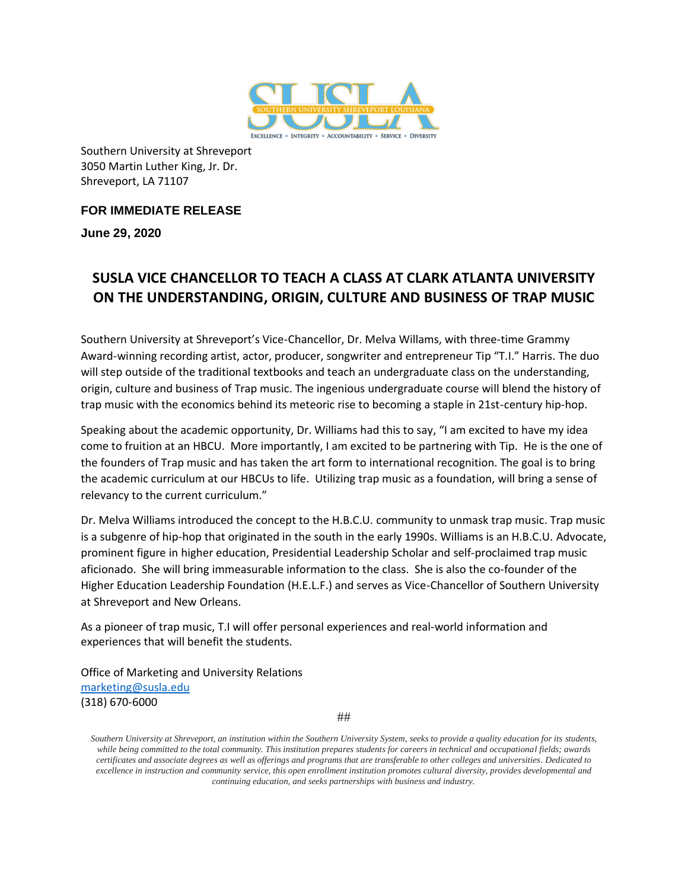

Southern University at Shreveport 3050 Martin Luther King, Jr. Dr. Shreveport, LA 71107

**FOR IMMEDIATE RELEASE**

**June 29, 2020**

## **SUSLA VICE CHANCELLOR TO TEACH A CLASS AT CLARK ATLANTA UNIVERSITY ON THE UNDERSTANDING, ORIGIN, CULTURE AND BUSINESS OF TRAP MUSIC**

Southern University at Shreveport's Vice-Chancellor, Dr. Melva Willams, with three-time Grammy Award-winning recording artist, actor, producer, songwriter and entrepreneur Tip "T.I." Harris. The duo will step outside of the traditional textbooks and teach an undergraduate class on the understanding, origin, culture and business of Trap music. The ingenious undergraduate course will blend the history of trap music with the economics behind its meteoric rise to becoming a staple in 21st-century hip-hop.

Speaking about the academic opportunity, Dr. Williams had this to say, "I am excited to have my idea come to fruition at an HBCU. More importantly, I am excited to be partnering with Tip. He is the one of the founders of Trap music and has taken the art form to international recognition. The goal is to bring the academic curriculum at our HBCUs to life. Utilizing trap music as a foundation, will bring a sense of relevancy to the current curriculum."

Dr. Melva Williams introduced the concept to the H.B.C.U. community to unmask trap music. Trap music is a subgenre of hip-hop that originated in the south in the early 1990s. Williams is an H.B.C.U. Advocate, prominent figure in higher education, Presidential Leadership Scholar and self-proclaimed trap music aficionado. She will bring immeasurable information to the class. She is also the co-founder of the Higher Education Leadership Foundation (H.E.L.F.) and serves as Vice-Chancellor of Southern University at Shreveport and New Orleans.

As a pioneer of trap music, T.I will offer personal experiences and real-world information and experiences that will benefit the students.

Office of Marketing and University Relations [marketing@susla.edu](mailto:marketing@susla.edu) (318) 670-6000

##

*Southern University at Shreveport, an institution within the Southern University System, seeks to provide a quality education for its students, while being committed to the total community. This institution prepares students for careers in technical and occupational fields; awards certificates and associate degrees as well as offerings and programs that are transferable to other colleges and universities. Dedicated to excellence in instruction and community service, this open enrollment institution promotes cultural diversity, provides developmental and continuing education, and seeks partnerships with business and industry.*